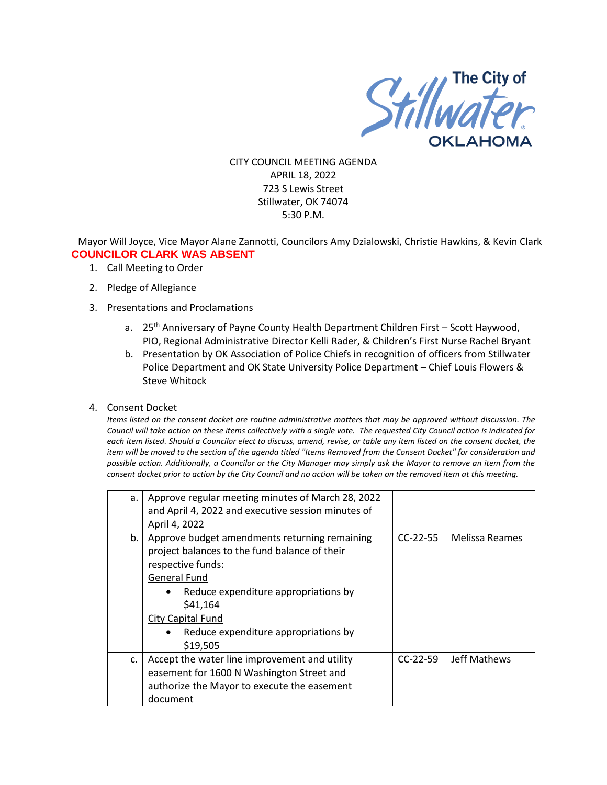

CITY COUNCIL MEETING AGENDA APRIL 18, 2022 723 S Lewis Street Stillwater, OK 74074 5:30 P.M.

Mayor Will Joyce, Vice Mayor Alane Zannotti, Councilors Amy Dzialowski, Christie Hawkins, & Kevin Clark **COUNCILOR CLARK WAS ABSENT**

- 1. Call Meeting to Order
- 2. Pledge of Allegiance
- 3. Presentations and Proclamations
	- a. 25<sup>th</sup> Anniversary of Payne County Health Department Children First Scott Haywood, PIO, Regional Administrative Director Kelli Rader, & Children's First Nurse Rachel Bryant
	- b. Presentation by OK Association of Police Chiefs in recognition of officers from Stillwater Police Department and OK State University Police Department – Chief Louis Flowers & Steve Whitock
- 4. Consent Docket

*Items listed on the consent docket are routine administrative matters that may be approved without discussion. The Council will take action on these items collectively with a single vote. The requested City Council action is indicated for each item listed. Should a Councilor elect to discuss, amend, revise, or table any item listed on the consent docket, the item will be moved to the section of the agenda titled "Items Removed from the Consent Docket" for consideration and possible action. Additionally, a Councilor or the City Manager may simply ask the Mayor to remove an item from the consent docket prior to action by the City Council and no action will be taken on the removed item at this meeting.*

| a. | Approve regular meeting minutes of March 28, 2022<br>and April 4, 2022 and executive session minutes of<br>April 4, 2022                                                                                                                                                |            |                |
|----|-------------------------------------------------------------------------------------------------------------------------------------------------------------------------------------------------------------------------------------------------------------------------|------------|----------------|
| b. | Approve budget amendments returning remaining<br>project balances to the fund balance of their<br>respective funds:<br><b>General Fund</b><br>Reduce expenditure appropriations by<br>\$41,164<br>City Capital Fund<br>Reduce expenditure appropriations by<br>\$19,505 | $CC-22-55$ | Melissa Reames |
| c. | Accept the water line improvement and utility<br>easement for 1600 N Washington Street and<br>authorize the Mayor to execute the easement<br>document                                                                                                                   | $CC-22-59$ | Jeff Mathews   |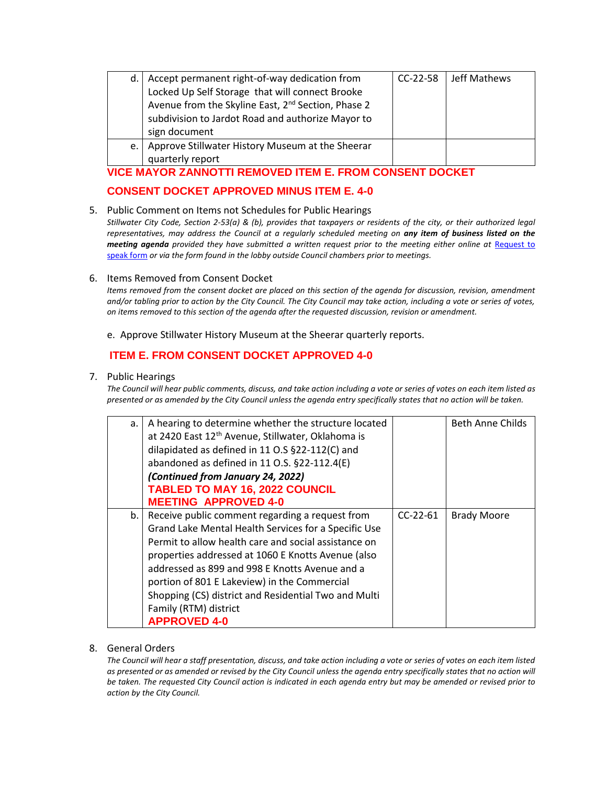| d. | Accept permanent right-of-way dedication from<br>Locked Up Self Storage that will connect Brooke<br>Avenue from the Skyline East, 2 <sup>nd</sup> Section, Phase 2<br>subdivision to Jardot Road and authorize Mayor to<br>sign document | CC-22-58 | Jeff Mathews |
|----|------------------------------------------------------------------------------------------------------------------------------------------------------------------------------------------------------------------------------------------|----------|--------------|
| e. | Approve Stillwater History Museum at the Sheerar<br>quarterly report                                                                                                                                                                     |          |              |

# **VICE MAYOR ZANNOTTI REMOVED ITEM E. FROM CONSENT DOCKET**

# **CONSENT DOCKET APPROVED MINUS ITEM E. 4-0**

### 5. Public Comment on Items not Schedules for Public Hearings

*Stillwater City Code, Section 2-53(a) & (b), provides that taxpayers or residents of the city, or their authorized legal representatives, may address the Council at a regularly scheduled meeting on any item of business listed on the meeting agenda provided they have submitted a written request prior to the meeting either online at Request to* [speak form](http://stillwater.org/page/home/government/mayor-city-council/meetings-agendas-minutes/online-request-to-speak-at-city-council) *or via the form found in the lobby outside Council chambers prior to meetings.*

### 6. Items Removed from Consent Docket

*Items removed from the consent docket are placed on this section of the agenda for discussion, revision, amendment and/or tabling prior to action by the City Council. The City Council may take action, including a vote or series of votes, on items removed to this section of the agenda after the requested discussion, revision or amendment.*

### e. Approve Stillwater History Museum at the Sheerar quarterly reports.

# **ITEM E. FROM CONSENT DOCKET APPROVED 4-0**

### 7. Public Hearings

*The Council will hear public comments, discuss, and take action including a vote or series of votes on each item listed as presented or as amended by the City Council unless the agenda entry specifically states that no action will be taken.*

| a. | A hearing to determine whether the structure located<br>at 2420 East 12 <sup>th</sup> Avenue, Stillwater, Oklahoma is<br>dilapidated as defined in 11 O.S §22-112(C) and<br>abandoned as defined in 11 O.S. §22-112.4(E)<br>(Continued from January 24, 2022)                                                                                                                                                                   |            | Beth Anne Childs   |
|----|---------------------------------------------------------------------------------------------------------------------------------------------------------------------------------------------------------------------------------------------------------------------------------------------------------------------------------------------------------------------------------------------------------------------------------|------------|--------------------|
|    | <b>TABLED TO MAY 16, 2022 COUNCIL</b><br><b>MEETING APPROVED 4-0</b>                                                                                                                                                                                                                                                                                                                                                            |            |                    |
| b. | Receive public comment regarding a request from<br>Grand Lake Mental Health Services for a Specific Use<br>Permit to allow health care and social assistance on<br>properties addressed at 1060 E Knotts Avenue (also<br>addressed as 899 and 998 E Knotts Avenue and a<br>portion of 801 E Lakeview) in the Commercial<br>Shopping (CS) district and Residential Two and Multi<br>Family (RTM) district<br><b>APPROVED 4-0</b> | $CC-22-61$ | <b>Brady Moore</b> |

### 8. General Orders

*The Council will hear a staff presentation, discuss, and take action including a vote or series of votes on each item listed as presented or as amended or revised by the City Council unless the agenda entry specifically states that no action will be taken. The requested City Council action is indicated in each agenda entry but may be amended or revised prior to action by the City Council.*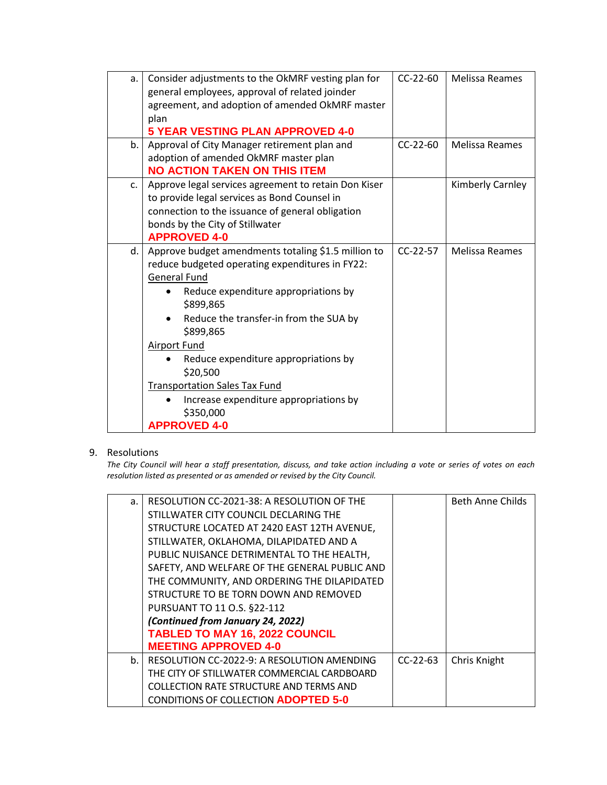| a. | Consider adjustments to the OkMRF vesting plan for<br>general employees, approval of related joinder<br>agreement, and adoption of amended OkMRF master<br>plan<br><b>5 YEAR VESTING PLAN APPROVED 4-0</b>                                                                                                                                                                                                                                 | $CC-22-60$ | Melissa Reames        |
|----|--------------------------------------------------------------------------------------------------------------------------------------------------------------------------------------------------------------------------------------------------------------------------------------------------------------------------------------------------------------------------------------------------------------------------------------------|------------|-----------------------|
| b. | Approval of City Manager retirement plan and<br>adoption of amended OkMRF master plan<br><b>NO ACTION TAKEN ON THIS ITEM</b>                                                                                                                                                                                                                                                                                                               | $CC-22-60$ | <b>Melissa Reames</b> |
| c. | Approve legal services agreement to retain Don Kiser<br>to provide legal services as Bond Counsel in<br>connection to the issuance of general obligation<br>bonds by the City of Stillwater<br><b>APPROVED 4-0</b>                                                                                                                                                                                                                         |            | Kimberly Carnley      |
| d. | Approve budget amendments totaling \$1.5 million to<br>reduce budgeted operating expenditures in FY22:<br><b>General Fund</b><br>Reduce expenditure appropriations by<br>\$899,865<br>Reduce the transfer-in from the SUA by<br>\$899,865<br><b>Airport Fund</b><br>Reduce expenditure appropriations by<br>\$20,500<br><b>Transportation Sales Tax Fund</b><br>Increase expenditure appropriations by<br>\$350,000<br><b>APPROVED 4-0</b> | CC-22-57   | <b>Melissa Reames</b> |

# 9. Resolutions

*The City Council will hear a staff presentation, discuss, and take action including a vote or series of votes on each resolution listed as presented or as amended or revised by the City Council.* 

| a.          | RESOLUTION CC-2021-38: A RESOLUTION OF THE    |            | <b>Beth Anne Childs</b> |
|-------------|-----------------------------------------------|------------|-------------------------|
|             | STILLWATER CITY COUNCIL DECLARING THE         |            |                         |
|             | STRUCTURE LOCATED AT 2420 EAST 12TH AVENUE,   |            |                         |
|             | STILLWATER, OKLAHOMA, DILAPIDATED AND A       |            |                         |
|             | PUBLIC NUISANCE DETRIMENTAL TO THE HEALTH,    |            |                         |
|             | SAFETY, AND WELFARE OF THE GENERAL PUBLIC AND |            |                         |
|             | THE COMMUNITY, AND ORDERING THE DILAPIDATED   |            |                         |
|             | STRUCTURE TO BE TORN DOWN AND REMOVED         |            |                         |
|             | PURSUANT TO 11 O.S. §22-112                   |            |                         |
|             | (Continued from January 24, 2022)             |            |                         |
|             | <b>TABLED TO MAY 16, 2022 COUNCIL</b>         |            |                         |
|             | <b>MEETING APPROVED 4-0</b>                   |            |                         |
| $h_{\cdot}$ | RESOLUTION CC-2022-9: A RESOLUTION AMENDING   | $CC-22-63$ | Chris Knight            |
|             | THE CITY OF STILLWATER COMMERCIAL CARDBOARD   |            |                         |
|             | COLLECTION RATE STRUCTURE AND TERMS AND       |            |                         |
|             | <b>CONDITIONS OF COLLECTION ADOPTED 5-0</b>   |            |                         |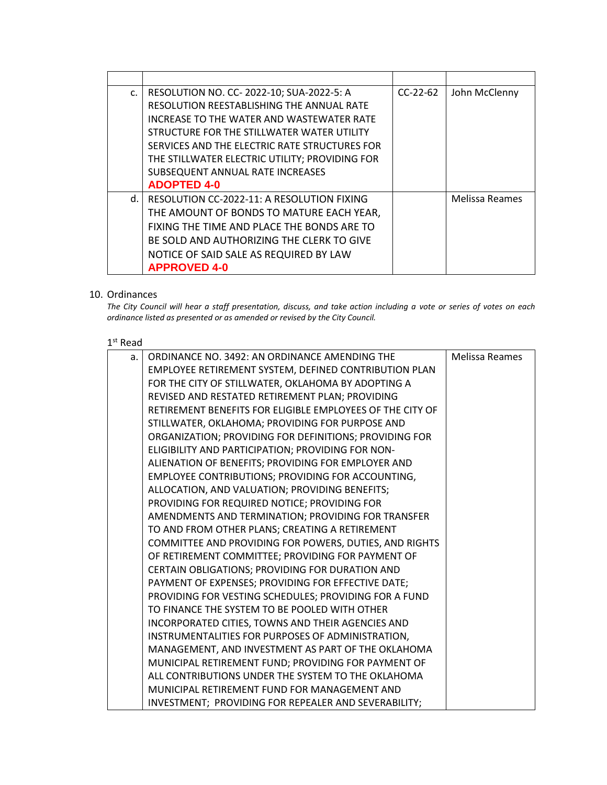| $C_{\star}$ | RESOLUTION NO. CC- 2022-10; SUA-2022-5: A      | $CC-22-62$ | John McClenny         |
|-------------|------------------------------------------------|------------|-----------------------|
|             | RESOLUTION REESTABLISHING THE ANNUAL RATE      |            |                       |
|             | INCREASE TO THE WATER AND WASTEWATER RATE      |            |                       |
|             | STRUCTURE FOR THE STILLWATER WATER UTILITY     |            |                       |
|             | SERVICES AND THE ELECTRIC RATE STRUCTURES FOR  |            |                       |
|             | THE STILLWATER ELECTRIC UTILITY; PROVIDING FOR |            |                       |
|             | SUBSEQUENT ANNUAL RATE INCREASES               |            |                       |
|             | <b>ADOPTED 4-0</b>                             |            |                       |
| d.          | RESOLUTION CC-2022-11: A RESOLUTION FIXING     |            | <b>Melissa Reames</b> |
|             | THE AMOUNT OF BONDS TO MATURE EACH YEAR,       |            |                       |
|             | FIXING THE TIME AND PLACE THE BONDS ARE TO     |            |                       |
|             | BE SOLD AND AUTHORIZING THE CLERK TO GIVE      |            |                       |
|             | NOTICE OF SAID SALE AS REQUIRED BY LAW         |            |                       |
|             | <b>APPROVED 4-0</b>                            |            |                       |

### 10. Ordinances

*The City Council will hear a staff presentation, discuss, and take action including a vote or series of votes on each ordinance listed as presented or as amended or revised by the City Council.*

### 1 st Read

| a. | ORDINANCE NO. 3492: AN ORDINANCE AMENDING THE             | Melissa Reames |
|----|-----------------------------------------------------------|----------------|
|    | EMPLOYEE RETIREMENT SYSTEM, DEFINED CONTRIBUTION PLAN     |                |
|    | FOR THE CITY OF STILLWATER, OKLAHOMA BY ADOPTING A        |                |
|    | REVISED AND RESTATED RETIREMENT PLAN; PROVIDING           |                |
|    | RETIREMENT BENEFITS FOR ELIGIBLE EMPLOYEES OF THE CITY OF |                |
|    | STILLWATER, OKLAHOMA; PROVIDING FOR PURPOSE AND           |                |
|    | ORGANIZATION; PROVIDING FOR DEFINITIONS; PROVIDING FOR    |                |
|    | ELIGIBILITY AND PARTICIPATION; PROVIDING FOR NON-         |                |
|    | ALIENATION OF BENEFITS; PROVIDING FOR EMPLOYER AND        |                |
|    | EMPLOYEE CONTRIBUTIONS; PROVIDING FOR ACCOUNTING,         |                |
|    | ALLOCATION, AND VALUATION; PROVIDING BENEFITS;            |                |
|    | PROVIDING FOR REQUIRED NOTICE; PROVIDING FOR              |                |
|    | AMENDMENTS AND TERMINATION; PROVIDING FOR TRANSFER        |                |
|    | TO AND FROM OTHER PLANS; CREATING A RETIREMENT            |                |
|    | COMMITTEE AND PROVIDING FOR POWERS, DUTIES, AND RIGHTS    |                |
|    | OF RETIREMENT COMMITTEE; PROVIDING FOR PAYMENT OF         |                |
|    | CERTAIN OBLIGATIONS; PROVIDING FOR DURATION AND           |                |
|    | PAYMENT OF EXPENSES; PROVIDING FOR EFFECTIVE DATE;        |                |
|    | PROVIDING FOR VESTING SCHEDULES; PROVIDING FOR A FUND     |                |
|    | TO FINANCE THE SYSTEM TO BE POOLED WITH OTHER             |                |
|    | INCORPORATED CITIES, TOWNS AND THEIR AGENCIES AND         |                |
|    | INSTRUMENTALITIES FOR PURPOSES OF ADMINISTRATION,         |                |
|    | MANAGEMENT, AND INVESTMENT AS PART OF THE OKLAHOMA        |                |
|    | MUNICIPAL RETIREMENT FUND; PROVIDING FOR PAYMENT OF       |                |
|    | ALL CONTRIBUTIONS UNDER THE SYSTEM TO THE OKLAHOMA        |                |
|    | MUNICIPAL RETIREMENT FUND FOR MANAGEMENT AND              |                |
|    | INVESTMENT; PROVIDING FOR REPEALER AND SEVERABILITY;      |                |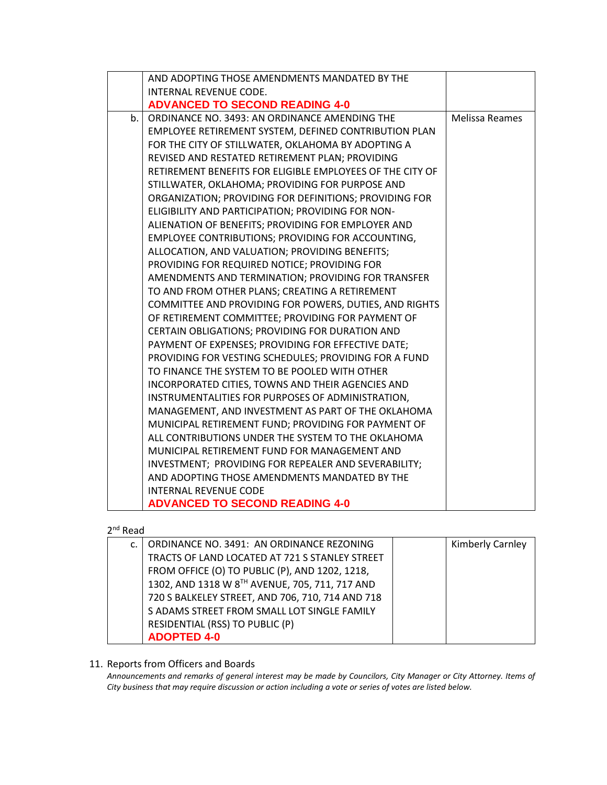|    | AND ADOPTING THOSE AMENDMENTS MANDATED BY THE             |                       |
|----|-----------------------------------------------------------|-----------------------|
|    | INTERNAL REVENUE CODE.                                    |                       |
|    | <b>ADVANCED TO SECOND READING 4-0</b>                     |                       |
| b. | ORDINANCE NO. 3493: AN ORDINANCE AMENDING THE             | <b>Melissa Reames</b> |
|    | EMPLOYEE RETIREMENT SYSTEM, DEFINED CONTRIBUTION PLAN     |                       |
|    | FOR THE CITY OF STILLWATER, OKLAHOMA BY ADOPTING A        |                       |
|    | REVISED AND RESTATED RETIREMENT PLAN; PROVIDING           |                       |
|    | RETIREMENT BENEFITS FOR ELIGIBLE EMPLOYEES OF THE CITY OF |                       |
|    | STILLWATER, OKLAHOMA; PROVIDING FOR PURPOSE AND           |                       |
|    | ORGANIZATION; PROVIDING FOR DEFINITIONS; PROVIDING FOR    |                       |
|    | ELIGIBILITY AND PARTICIPATION; PROVIDING FOR NON-         |                       |
|    | ALIENATION OF BENEFITS; PROVIDING FOR EMPLOYER AND        |                       |
|    | EMPLOYEE CONTRIBUTIONS; PROVIDING FOR ACCOUNTING,         |                       |
|    | ALLOCATION, AND VALUATION; PROVIDING BENEFITS;            |                       |
|    | PROVIDING FOR REQUIRED NOTICE; PROVIDING FOR              |                       |
|    | AMENDMENTS AND TERMINATION; PROVIDING FOR TRANSFER        |                       |
|    | TO AND FROM OTHER PLANS; CREATING A RETIREMENT            |                       |
|    | COMMITTEE AND PROVIDING FOR POWERS, DUTIES, AND RIGHTS    |                       |
|    | OF RETIREMENT COMMITTEE; PROVIDING FOR PAYMENT OF         |                       |
|    | CERTAIN OBLIGATIONS; PROVIDING FOR DURATION AND           |                       |
|    | PAYMENT OF EXPENSES; PROVIDING FOR EFFECTIVE DATE;        |                       |
|    | PROVIDING FOR VESTING SCHEDULES; PROVIDING FOR A FUND     |                       |
|    | TO FINANCE THE SYSTEM TO BE POOLED WITH OTHER             |                       |
|    | INCORPORATED CITIES, TOWNS AND THEIR AGENCIES AND         |                       |
|    | INSTRUMENTALITIES FOR PURPOSES OF ADMINISTRATION,         |                       |
|    | MANAGEMENT, AND INVESTMENT AS PART OF THE OKLAHOMA        |                       |
|    | MUNICIPAL RETIREMENT FUND; PROVIDING FOR PAYMENT OF       |                       |
|    | ALL CONTRIBUTIONS UNDER THE SYSTEM TO THE OKLAHOMA        |                       |
|    | MUNICIPAL RETIREMENT FUND FOR MANAGEMENT AND              |                       |
|    | INVESTMENT; PROVIDING FOR REPEALER AND SEVERABILITY;      |                       |
|    | AND ADOPTING THOSE AMENDMENTS MANDATED BY THE             |                       |
|    | <b>INTERNAL REVENUE CODE</b>                              |                       |
|    | <b>ADVANCED TO SECOND READING 4-0</b>                     |                       |

# 2<sup>nd</sup> Read

| C. | ORDINANCE NO. 3491: AN ORDINANCE REZONING        | <b>Kimberly Carnley</b> |
|----|--------------------------------------------------|-------------------------|
|    | TRACTS OF LAND LOCATED AT 721 S STANLEY STREET   |                         |
|    | FROM OFFICE (O) TO PUBLIC (P), AND 1202, 1218,   |                         |
|    | 1302, AND 1318 W 8TH AVENUE, 705, 711, 717 AND   |                         |
|    | 720 S BALKELEY STREET, AND 706, 710, 714 AND 718 |                         |
|    | S ADAMS STREET FROM SMALL LOT SINGLE FAMILY      |                         |
|    | RESIDENTIAL (RSS) TO PUBLIC (P)                  |                         |
|    | <b>ADOPTED 4-0</b>                               |                         |

# 11. Reports from Officers and Boards

*Announcements and remarks of general interest may be made by Councilors, City Manager or City Attorney. Items of City business that may require discussion or action including a vote or series of votes are listed below.*